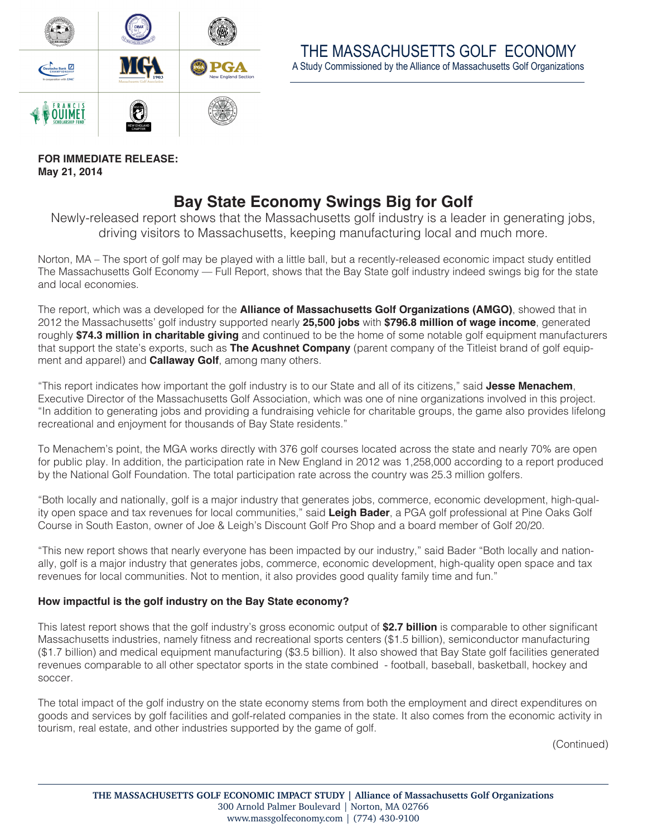

**FOR IMMEDIATE RELEASE: May 21, 2014**

## **Bay State Economy Swings Big for Golf**

Newly-released report shows that the Massachusetts golf industry is a leader in generating jobs, driving visitors to Massachusetts, keeping manufacturing local and much more.

Norton, MA – The sport of golf may be played with a little ball, but a recently-released economic impact study entitled The Massachusetts Golf Economy — Full Report, shows that the Bay State golf industry indeed swings big for the state and local economies.

The report, which was a developed for the **Alliance of Massachusetts Golf Organizations (AMGO)**, showed that in 2012 the Massachusetts' golf industry supported nearly **25,500 jobs** with **\$796.8 million of wage income**, generated roughly **\$74.3 million in charitable giving** and continued to be the home of some notable golf equipment manufacturers that support the state's exports, such as **The Acushnet Company** (parent company of the Titleist brand of golf equipment and apparel) and **Callaway Golf**, among many others.

"This report indicates how important the golf industry is to our State and all of its citizens," said **Jesse Menachem**, Executive Director of the Massachusetts Golf Association, which was one of nine organizations involved in this project. "In addition to generating jobs and providing a fundraising vehicle for charitable groups, the game also provides lifelong recreational and enjoyment for thousands of Bay State residents."

To Menachem's point, the MGA works directly with 376 golf courses located across the state and nearly 70% are open for public play. In addition, the participation rate in New England in 2012 was 1,258,000 according to a report produced by the National Golf Foundation. The total participation rate across the country was 25.3 million golfers.

"Both locally and nationally, golf is a major industry that generates jobs, commerce, economic development, high-quality open space and tax revenues for local communities," said **Leigh Bader**, a PGA golf professional at Pine Oaks Golf Course in South Easton, owner of Joe & Leigh's Discount Golf Pro Shop and a board member of Golf 20/20.

"This new report shows that nearly everyone has been impacted by our industry," said Bader "Both locally and nationally, golf is a major industry that generates jobs, commerce, economic development, high-quality open space and tax revenues for local communities. Not to mention, it also provides good quality family time and fun."

## **How impactful is the golf industry on the Bay State economy?**

This latest report shows that the golf industry's gross economic output of **\$2.7 billion** is comparable to other significant Massachusetts industries, namely fitness and recreational sports centers (\$1.5 billion), semiconductor manufacturing (\$1.7 billion) and medical equipment manufacturing (\$3.5 billion). It also showed that Bay State golf facilities generated revenues comparable to all other spectator sports in the state combined - football, baseball, basketball, hockey and soccer.

The total impact of the golf industry on the state economy stems from both the employment and direct expenditures on goods and services by golf facilities and golf-related companies in the state. It also comes from the economic activity in tourism, real estate, and other industries supported by the game of golf.

(Continued)